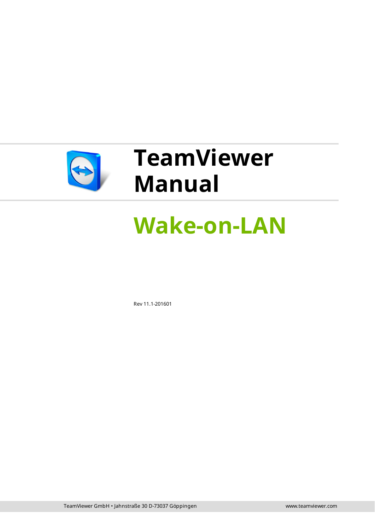

# **TeamViewer Manual**

# **Wake-on-LAN**

Rev 11.1-201601

TeamViewer GmbH • Jahnstraße 30 D-73037 Göppingen www.teamviewer.com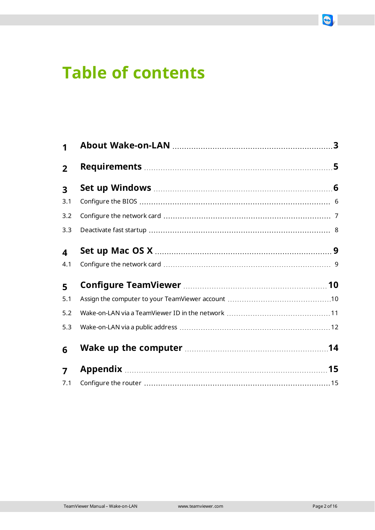# **Table of contents**

| $\mathbf 1$             |  |
|-------------------------|--|
| $\overline{2}$          |  |
| $\overline{\mathbf{3}}$ |  |
| 3.1                     |  |
| 3.2                     |  |
| 3.3                     |  |
| $\overline{\mathbf{4}}$ |  |
| 4.1                     |  |
| 5                       |  |
| 5.1                     |  |
| 5.2                     |  |
| 5.3                     |  |
| 6                       |  |
| $\overline{7}$          |  |
| 7.1                     |  |

 $\bigodot$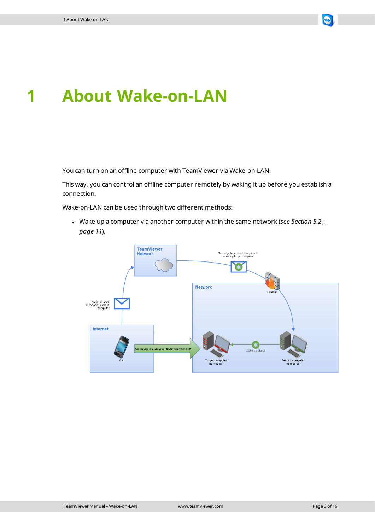

### <span id="page-2-0"></span>**1 About Wake-on-LAN**

You can turn on an offline computer with TeamViewer via Wake-on-LAN.

This way, you can control an offline computer remotely by waking it up before you establish a connection.

Wake-on-LAN can be used through two different methods:

<sup>l</sup> Wake up a computer via another computer within the same network (*see [Section 5.2](#page-10-0) , [page 11](#page-10-0)*).

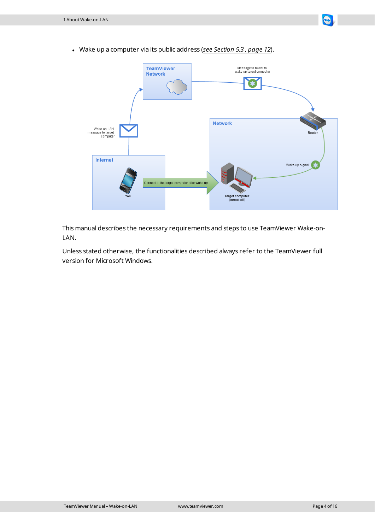<sup>l</sup> Wake up a computer via its public address (*see [Section 5.3](#page-11-0) , page 12*).



This manual describes the necessary requirements and steps to use TeamViewer Wake-on-LAN.

Unless stated otherwise, the functionalities described always refer to the TeamViewer full version for Microsoft Windows.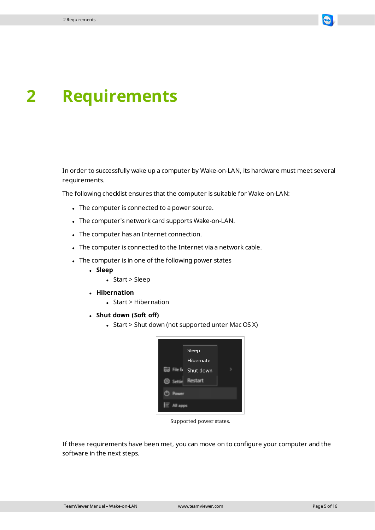

### <span id="page-4-0"></span>**2 Requirements**

In order to successfully wake up a computer by Wake-on-LAN, its hardware must meet several requirements.

The following checklist ensures that the computer is suitable for Wake-on-LAN:

- The computer is connected to a power source.
- The computer's network card supports Wake-on-LAN.
- The computer has an Internet connection.
- The computer is connected to the Internet via a network cable.
- The computer is in one of the following power states
	- <sup>l</sup> **Sleep**
		- $\bullet$  Start > Sleep
	- <sup>l</sup> **Hibernation**
		- $\bullet$  Start > Hibernation
	- <sup>l</sup> **Shut down (Soft off)**
		- Start > Shut down (not supported unter Mac OS X)



Supported power states.

If these requirements have been met, you can move on to configure your computer and the software in the next steps.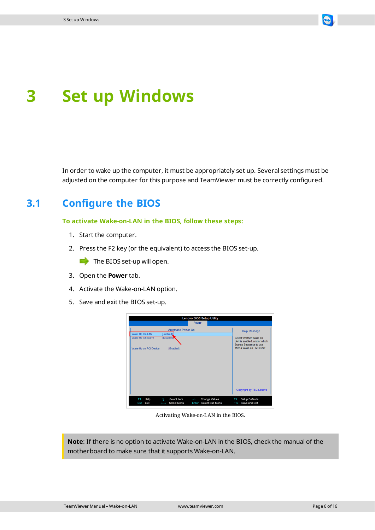

## <span id="page-5-0"></span>**3 Set up Windows**

<span id="page-5-1"></span>In order to wake up the computer, it must be appropriately set up. Several settings must be adjusted on the computer for this purpose and TeamViewer must be correctly configured.

### **3.1 Configure the BIOS**

**To activate Wake-on-LAN in the BIOS, follow these steps:**

- 1. Start the computer.
- 2. Press the F2 key (or the equivalent) to access the BIOS set-up.

 $\blacksquare$  The BIOS set-up will open.

- 3. Open the **Power** tab.
- 4. Activate the Wake-on-LAN option.
- 5. Save and exit the BIOS set-up.



Activating Wake-on-LAN in the BIOS.

**Note**: If there is no option to activate Wake-on-LAN in the BIOS, check the manual of the motherboard to make sure that it supports Wake-on-LAN.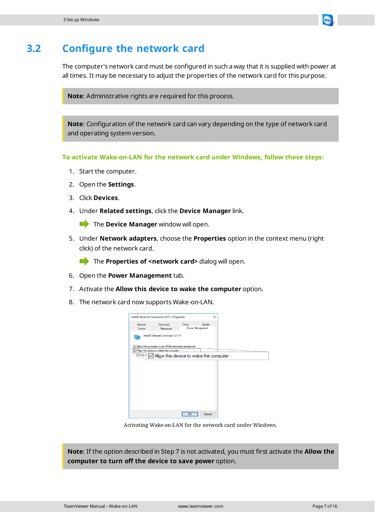

#### **3.2 Configure the network card**

<span id="page-6-0"></span>The computer's network card must be configured in such a way that it is supplied with power [at](http://www.teamviewer.com/) all times. It may be necessary to adjust the properties of the network card for this purpose.

**Note**: Administrative rights are required for this process.

**Note**: Configuration of the network card can vary depending on the type of network card and operating system version.

**To activate Wake-on-LAN for the network card under Windows, follow these steps:**

- 1. Start the computer.
- 2. Open the **Settings**.
- 3. Click **Devices**.
- 4. Under **Related settings**, click the **Device Manager** link.

**The Device Manager** window will open.

5. Under **Network adapters**, choose the **Properties** option in the context menu (right click) of the network card.

**The Properties of <network card>** dialog will open.

- 6. Open the **Power Management** tab.
- 7. Activate the **Allow this device to wake the computer** option.
- 8. The network card now supports Wake-on-LAN.



Activating Wake-on-LAN for the network card under Windows.

**Note**: If the option described in Step 7 is not activated, you must first activate the **Allow the computer to turn off the device to save power** option.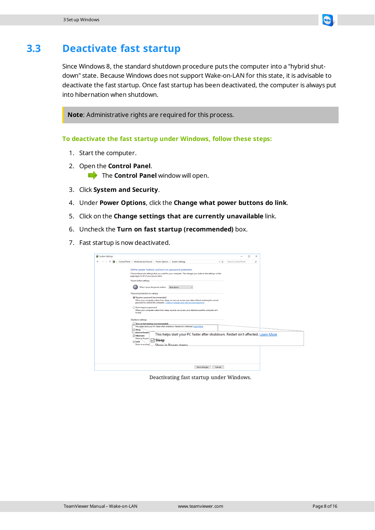

#### **3.3 Deactivate fast startup**

<span id="page-7-0"></span>Since Windows 8, the standard shutdown procedure puts the computer into a "hybrid shutdown" state. Because Windows does not support Wake-on-LAN for this state, it is advisable to deactivate the fast startup. Once fast startup has been deactivated, the computer is always [put](http://www.teamviewer.com/) into hibernation when shutdown.

**Note**: Administrative rights are required for this process.

**To deactivate the fast startup under Windows, follow these steps:**

- 1. Start the computer.
- 2. Open the **Control Panel**. The **Control Panel** window will open.
- 3. Click **System and Security**.
- 4. Under **Power Options**, click the **Change what power buttons do link**.
- 5. Click on the **Change settings that are currently unavailable** link.
- 6. Uncheck the **Turn on fast startup (recommended)** box.
- 7. Fast startup is now deactivated.

| System Settings |                                                                                                                                                                                                                       |                      | п<br>$\times$ |  |
|-----------------|-----------------------------------------------------------------------------------------------------------------------------------------------------------------------------------------------------------------------|----------------------|---------------|--|
|                 | > Control Panel > Hardware and Sound > Power Options > System Settings<br>$\sqrt{2}$                                                                                                                                  | Search Control Panel | ۹             |  |
|                 | Define power buttons and turn on password protection<br>Choose the power settings that you want for your computer. The changes you make to the settings on this                                                       |                      |               |  |
|                 | page apply to all of your power plans.<br>Power button settings                                                                                                                                                       |                      |               |  |
|                 | When I press the power button:<br>Shut down                                                                                                                                                                           |                      |               |  |
|                 | Password protection on wakeup                                                                                                                                                                                         |                      |               |  |
|                 | (a) Require a password (recommended)<br>When your computer wakes from sleep, no one can access your data without entering the correct<br>password to unlock the computer. Create or change your user account password |                      |               |  |
|                 | ◯ Don't require a password<br>When your computer wakes from sleep, anyone can access your data because the computer isn't<br>locked.                                                                                  |                      |               |  |
|                 | Shutdown settings                                                                                                                                                                                                     |                      |               |  |
|                 | Turn on fast startup (recommended)                                                                                                                                                                                    |                      |               |  |
|                 | This helps start your PC faster after shutdown. Restart isn't affected. Learn More<br>⊠ Sleep                                                                                                                         |                      |               |  |
|                 | Show in Power a<br>This helps start your PC faster after shutdown. Restart isn't affected. Learn More<br><b>Hibernate</b><br>Show.in Power r                                                                          |                      |               |  |
|                 | <b>Sleep</b><br>✓<br><b>D</b> Lock<br>Show in account<br>Show in Dower menu                                                                                                                                           |                      |               |  |
|                 |                                                                                                                                                                                                                       |                      |               |  |
|                 |                                                                                                                                                                                                                       |                      |               |  |
|                 |                                                                                                                                                                                                                       |                      |               |  |
|                 | Save changes<br>Cancel                                                                                                                                                                                                |                      |               |  |

Deactivating fast startup under Windows.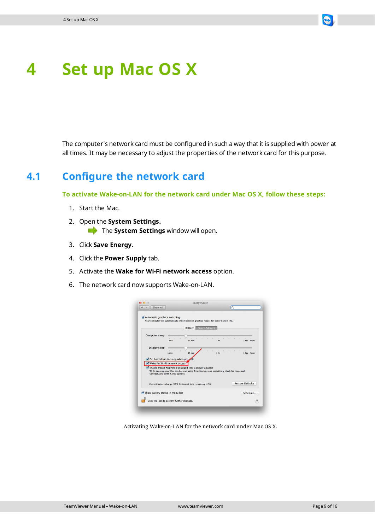

### <span id="page-8-0"></span>**4 Set up Mac OS X**

<span id="page-8-1"></span>The computer's network card must be configured in such a way that it is supplied with power at all times. It may be necessary to adjust the properties of the network card for this purpose.

#### **4.1 Configure the network card**

**To activate Wake-on-LAN for the network card under Mac OS X, follow these steps:**

- 1. Start the Mac.
- 2. Open the **System Settings. The System Settings** window will open.
- 3. Click **Save Energy**.
- 4. Click the **Power Supply** tab.
- 5. Activate the **Wake for Wi-Fi network access** option.
- 6. The network card now supports Wake-on-LAN.

|                                                                                                                                                                                                                             |                              | Battery |                                                             | <b>Power Adapter</b> | Your computer will automatically switch between graphics modes for better battery life. |  |                                          |                               |
|-----------------------------------------------------------------------------------------------------------------------------------------------------------------------------------------------------------------------------|------------------------------|---------|-------------------------------------------------------------|----------------------|-----------------------------------------------------------------------------------------|--|------------------------------------------|-------------------------------|
| Computer sleep:                                                                                                                                                                                                             | <b>CONTRACTOR</b><br>$1$ min | 15 min  |                                                             | <b>Contractor</b>    | 1 <sub>hr</sub>                                                                         |  | the contract of the contract of the con- | 3 hrs Never                   |
| Display sleep:                                                                                                                                                                                                              | <b>Contract</b><br>$1$ min   | 15 min  |                                                             |                      | <b>COLLECTION</b><br>$\sim$<br>1 hr                                                     |  | the contract of the contract of          | $\mathbb{R}^2$<br>3 hrs Never |
| Wake for Wi-Fi network access<br>Enable Power Nap while plugged into a power adapter<br>While sleeping, your Mac can back up using Time Machine and periodically check for new email.<br>calendar, and other iCloud updates |                              |         |                                                             |                      |                                                                                         |  |                                          |                               |
|                                                                                                                                                                                                                             |                              |         | Current battery charge: 92 % Estimated time remaining: 4:56 |                      |                                                                                         |  | <b>Restore Defaults</b>                  |                               |

Activating Wake-on-LAN for the network card under Mac OS X.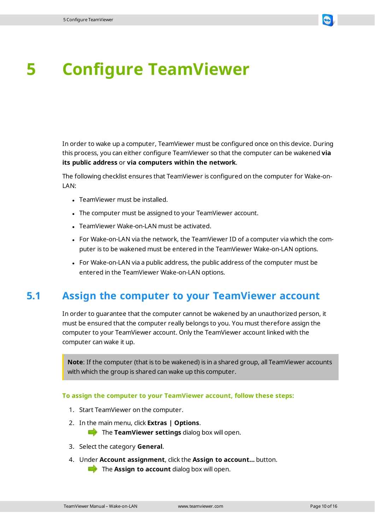<span id="page-9-0"></span>

In order to wake up a computer, TeamViewer must be configured once on this device. During this process, you can either configure TeamViewer so that the computer can be wakened **via its public address** or **via computers within the network**.

The following checklist ensures that TeamViewer is configured on the computer for Wake-on-LAN:

- TeamViewer must be installed.
- The computer must be assigned to your TeamViewer account.
- TeamViewer Wake-on-LAN must be activated.
- For Wake-on-LAN via the network, the TeamViewer ID of a computer via which the computer is to be wakened must be entered in the TeamViewer Wake-on-LAN options.
- <span id="page-9-1"></span>• For Wake-on-LAN via a public address, the public address of the computer must be entered in the TeamViewer Wake-on-LAN options.

#### **5.1 Assign the computer to your TeamViewer account**

In order to guarantee that the computer cannot be wakened by an unauthorized person, it must be ensured that the computer really belongs to you. You must therefore assign the computer to your TeamViewer account. Only the TeamViewer account linked with the computer can wake it up.

**Note**: If the computer (that is to be wakened) is in a shared group, all TeamViewer accounts with which the group is shared can wake up this computer.

#### **To assign the computer to your TeamViewer account, follow these steps:**

- 1. Start TeamViewer on the computer.
- 2. In the main menu, click **Extras | Options**.

**The TeamViewer settings** dialog box will open.

- 3. Select the category **General**.
- 4. Under **Account assignment**, click the **Assign to account…** button. The **Assign to account** dialog box will open.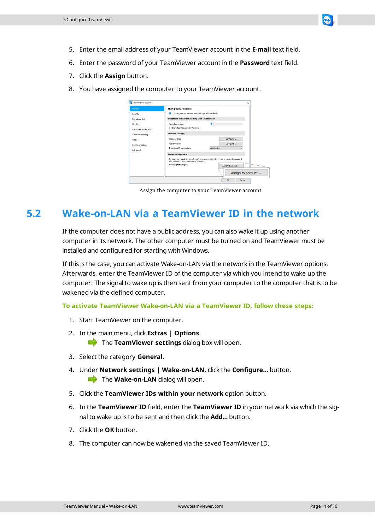

- 5. Enter the email address of your TeamViewer account in the **E-mail** text field.
- 6. Enter the password of your TeamViewer account in the **Password** text field.
- 7. Click the **Assign** button.
- 8. You have assigned the computer to your TeamViewer account.

| <b>D</b> TeamViewer options     |                                                      |                                                                                      |
|---------------------------------|------------------------------------------------------|--------------------------------------------------------------------------------------|
| General                         | <b>Most popular options</b>                          |                                                                                      |
| Security                        | Hover your mouse over options to get additional info |                                                                                      |
| Remote control                  | <b>Important options for working with TeamViewer</b> |                                                                                      |
| Meeting                         | Your display name                                    |                                                                                      |
| <b>Computers &amp; Contacts</b> | Start TeamViewer with Windows                        |                                                                                      |
| Audio conferencing              | <b>Network settings</b>                              |                                                                                      |
| Video                           | Proxy settings                                       | Configure                                                                            |
| <b>Custom invitation</b>        | Wake-on-LAN                                          | Configure                                                                            |
| Advanced                        | <b>Incoming LAN connections</b>                      | deactivated                                                                          |
|                                 | <b>Account assignment</b>                            |                                                                                      |
|                                 | and monitored by the account at any time.            | By assigning this device to a TeamViewer account, the device can be remotely managed |
|                                 | No assignment yet.                                   | Assign to account                                                                    |
|                                 |                                                      | Assign to account                                                                    |
|                                 |                                                      | Cancel<br>$\alpha$                                                                   |

Assign the computer to your TeamViewer account

### **5.2 Wake-on-LAN via a TeamViewer ID in the network**

<span id="page-10-0"></span>If the computer does not have a public address, you can also wake it up using another computer in its network. The other computer must be turned on and TeamViewer must be installed and configured for starting with Windows.

If this is the case, you can activate Wake-on-LAN via the network in the TeamViewer options. Afterwards, enter the TeamViewer ID of the computer via which you intend to wake up the computer. The signal to wake up is then sent from your computer to the computer that is to be wakened via the defined computer.

#### **To activate TeamViewer Wake-on-LAN via a TeamViewer ID, follow these steps:**

- 1. Start TeamViewer on the computer.
- 2. In the main menu, click **Extras | Options**.

**The TeamViewer settings** dialog box will open.

- 3. Select the category **General**.
- 4. Under **Network settings | Wake-on-LAN**, click the **Configure…** button. The **Wake-on-LAN** dialog will open.
- 5. Click the **TeamViewer IDs within your network** option button.
- 6. In the **TeamViewer ID** field, enter the **TeamViewer ID** in your network via which the signal to wake up is to be sent and then click the **Add…** button.
- 7. Click the **OK** button.
- 8. The computer can now be wakened via the saved TeamViewer ID.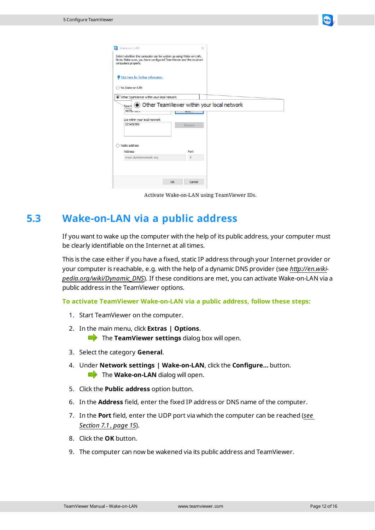

| Wake-on-LAN                                                                                                                                                | X                                                        |  |  |  |  |  |
|------------------------------------------------------------------------------------------------------------------------------------------------------------|----------------------------------------------------------|--|--|--|--|--|
| Select whether this computer can be woken up using Wake-on-LAN.<br>Note: Make sure, you have configured TeamViewer and the involved<br>computers properly. |                                                          |  |  |  |  |  |
| Click here for further information.                                                                                                                        |                                                          |  |  |  |  |  |
| No Wake-on-LAN                                                                                                                                             |                                                          |  |  |  |  |  |
| O Other TeamViewer within your local network                                                                                                               |                                                          |  |  |  |  |  |
| <b>Team\</b><br>$9876 - 126$                                                                                                                               | Other TeamViewer within your local network<br><b>AUU</b> |  |  |  |  |  |
| IDs within your local network<br>123456789                                                                                                                 |                                                          |  |  |  |  |  |
|                                                                                                                                                            | Remove                                                   |  |  |  |  |  |
| Public address                                                                                                                                             |                                                          |  |  |  |  |  |
| <b>Address</b>                                                                                                                                             | Port                                                     |  |  |  |  |  |
| mypc.dyndnsexample.org                                                                                                                                     | 9                                                        |  |  |  |  |  |
|                                                                                                                                                            |                                                          |  |  |  |  |  |
| OK                                                                                                                                                         | Cancel                                                   |  |  |  |  |  |

Activate Wake-on-LAN using TeamViewer IDs.

### **5.3 Wake-on-LAN via a public address**

<span id="page-11-0"></span>If you want to wake up the computer with the help of its public address, your computer must be clearly identifiable on the Internet at all times.

This is the case either if you have a fixed, static IP address through your Internet provider or your computer is reachable, e.g. with the help of a dynamic DNS provider (see *[http://en.wiki](http://en.wikipedia.org/wiki/Dynamic_DNS)[pedia.org/wiki/Dynamic\\_DNS](http://en.wikipedia.org/wiki/Dynamic_DNS)*). If these conditions are met, you can activate Wake-on-LAN via a public address in the TeamViewer options.

**To activate TeamViewer Wake-on-LAN via a public address, follow these steps:**

- 1. Start TeamViewer on the computer.
- 2. In the main menu, click **Extras | Options**. **The TeamViewer settings** dialog box will open.
- 3. Select the category **General**.
- 4. Under **Network settings | Wake-on-LAN**, click the **Configure…** button. The **Wake-on-LAN** dialog will open.
- 5. Click the **Public address** option button.
- 6. In the **Address** field, enter the fixed IP address or DNS name of the computer.
- 7. In the **Port** field, enter the UDP port via which the computer can be reached (*[see](#page-14-1) [Section 7.1](#page-14-1) , page 15*).
- 8. Click the **OK** button.
- 9. The computer can now be wakened via its public address and TeamViewer.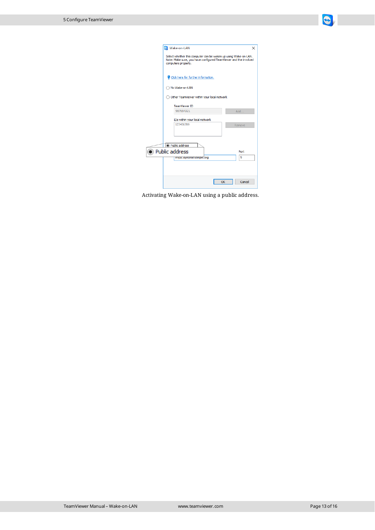

|                                                                                                                                                            | Wake-on-LAN                                | ×      |  |  |  |  |  |
|------------------------------------------------------------------------------------------------------------------------------------------------------------|--------------------------------------------|--------|--|--|--|--|--|
| Select whether this computer can be woken up using Wake-on-LAN.<br>Note: Make sure, you have configured TeamViewer and the involved<br>computers properly. |                                            |        |  |  |  |  |  |
|                                                                                                                                                            | Click here for further information.        |        |  |  |  |  |  |
|                                                                                                                                                            | No Wake-on-LAN                             |        |  |  |  |  |  |
|                                                                                                                                                            | Other TeamViewer within your local network |        |  |  |  |  |  |
|                                                                                                                                                            | <b>TeamViewer ID</b>                       |        |  |  |  |  |  |
|                                                                                                                                                            | 987654321                                  | Add    |  |  |  |  |  |
|                                                                                                                                                            | IDs within your local network              |        |  |  |  |  |  |
|                                                                                                                                                            | 123456789                                  | Remove |  |  |  |  |  |
|                                                                                                                                                            |                                            |        |  |  |  |  |  |
|                                                                                                                                                            | I Public address                           |        |  |  |  |  |  |
|                                                                                                                                                            | le Public address                          | Port   |  |  |  |  |  |
|                                                                                                                                                            | mypc.aynansexample.org                     | 9      |  |  |  |  |  |
|                                                                                                                                                            |                                            |        |  |  |  |  |  |
|                                                                                                                                                            |                                            |        |  |  |  |  |  |
|                                                                                                                                                            |                                            |        |  |  |  |  |  |
|                                                                                                                                                            | OK                                         | Cancel |  |  |  |  |  |

Activating Wake-on-LAN using a public address.

Í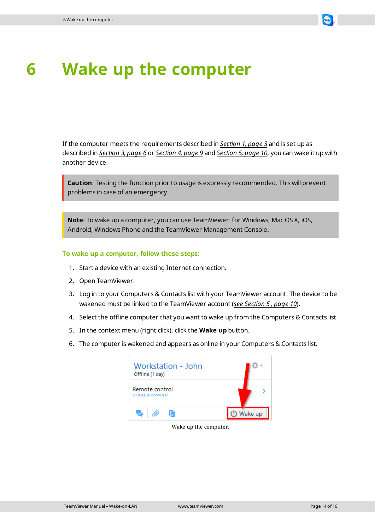

# <span id="page-13-0"></span>**6 Wake up the computer**

If the computer meets the requirements described in *[Section 1,](#page-2-0) page 3* and is set up as described in *[Section 3,](#page-5-0) page 6* or *[Section 4,](#page-8-0) page 9* and *[Section 5,](#page-9-0) page 10*, you can wake it up with another device.

**Caution**: Testing the function prior to usage is expressly recommended. This will prevent problems in case of an emergency.

**Note**: To wake up a computer, you can use TeamViewer for Windows, Mac OS X, iOS, Android, Windows Phone and the TeamViewer Management Console.

#### **To wake up a computer, follow these steps:**

- 1. Start a device with an existing Internet connection.
- 2. Open TeamViewer.
- 3. Log in to your Computers & Contacts list with your TeamViewer account. The device to be wakened must be linked to the TeamViewer account (*see [Section 5](#page-9-0) , page 10*).
- 4. Select the offline computer that you want to wake up from the Computers & Contacts list.
- 5. In the context menu (right click), click the **Wake up** button.
- 6. The computer is wakened and appears as online in your Computers & Contacts list.

| Workstation - John<br>Offline (1 day) |         |
|---------------------------------------|---------|
| Remote control<br>using password      |         |
| e<br>后                                | Nake up |

Wake up the computer.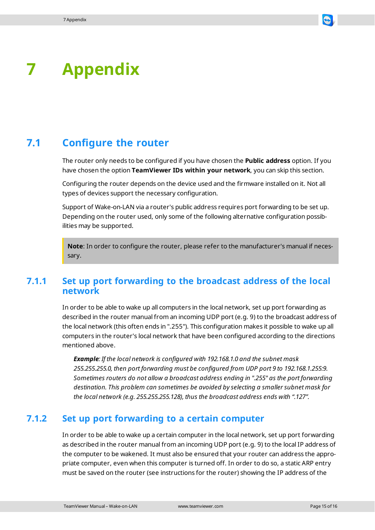<span id="page-14-0"></span>

#### **7.1 Configure the router**

<span id="page-14-1"></span>The router only needs to be configured if you have chosen the **Public address** option. If you have chosen the option **TeamViewer IDs within your network**, you can skip this section.

Configuring the router depends on the device used and the firmware installed on it. Not all types of devices support the necessary configuration.

Support of Wake-on-LAN via a router's public address requires port forwarding to be set up. Depending on the router used, only some of the following alternative configuration possibilities may be supported.

**Note**: In order to configure the router, please refer to the manufacturer's manual if necessary.

#### **7.1.1 Set up port forwarding to the broadcast address of the local network**

In order to be able to wake up all computers in the local network, set up port forwarding as described in the router manual from an incoming UDP port (e.g. 9) to the broadcast address of the local network (this often ends in ".255"). This configuration makes it possible to wake up all computers in the router's local network that have been configured according to the directions mentioned above.

*Example: If the local network is configured with 192.168.1.0 and the subnet mask 255.255.255.0, then port forwarding must be configured from UDP port 9 to 192.168.1.255:9. Sometimes routers do not allow a broadcast address ending in ".255" as the port forwarding destination. This problem can sometimes be avoided by selecting a smaller subnet mask for the local network (e.g. 255.255.255.128), thus the broadcast address ends with ".127".*

#### **7.1.2 Set up port forwarding to a certain computer**

In order to be able to wake up a certain computer in the local network, set up port forwarding as described in the router manual from an incoming UDP port (e.g. 9) to the local IP address of the computer to be wakened. It must also be ensured that your router can address the appropriate computer, even when this computer is turned off. In order to do so, a static ARP entry must be saved on the router (see instructions for the router) showing the IP address of the